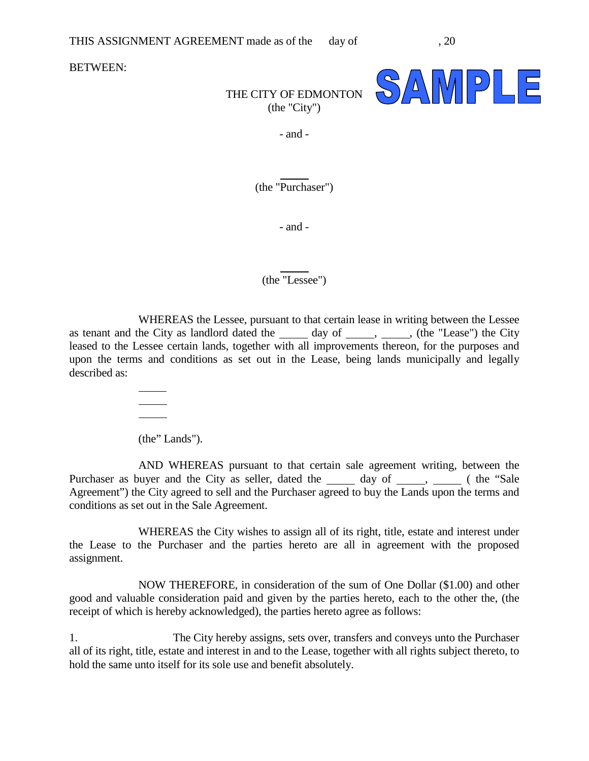BETWEEN:



## THE CITY OF EDMONTON (the "City")

- and -

(the "Purchaser")

 $\overline{a}$ 

- and -

(the "Lessee")

 $\overline{a}$ 

WHEREAS the Lessee, pursuant to that certain lease in writing between the Lessee as tenant and the City as landlord dated the day of , (the "Lease") the City leased to the Lessee certain lands, together with all improvements thereon, for the purposes and upon the terms and conditions as set out in the Lease, being lands municipally and legally described as:

(the" Lands").

l l l

AND WHEREAS pursuant to that certain sale agreement writing, between the Purchaser as buyer and the City as seller, dated the <u>Jacken day of Jacken , Jacken (the</u> "Sale Agreement") the City agreed to sell and the Purchaser agreed to buy the Lands upon the terms and conditions as set out in the Sale Agreement.

WHEREAS the City wishes to assign all of its right, title, estate and interest under the Lease to the Purchaser and the parties hereto are all in agreement with the proposed assignment.

NOW THEREFORE, in consideration of the sum of One Dollar (\$1.00) and other good and valuable consideration paid and given by the parties hereto, each to the other the, (the receipt of which is hereby acknowledged), the parties hereto agree as follows:

1. The City hereby assigns, sets over, transfers and conveys unto the Purchaser all of its right, title, estate and interest in and to the Lease, together with all rights subject thereto, to hold the same unto itself for its sole use and benefit absolutely.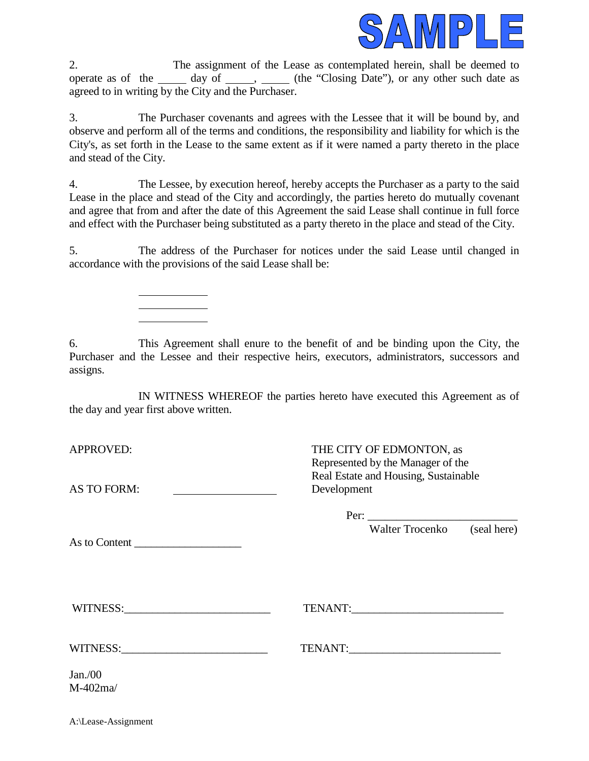

2. The assignment of the Lease as contemplated herein, shall be deemed to operate as of the  $\qquad \qquad$  day of  $\qquad \qquad$ ,  $\qquad$  (the "Closing Date"), or any other such date as agreed to in writing by the City and the Purchaser.

3. The Purchaser covenants and agrees with the Lessee that it will be bound by, and observe and perform all of the terms and conditions, the responsibility and liability for which is the City's, as set forth in the Lease to the same extent as if it were named a party thereto in the place and stead of the City.

4. The Lessee, by execution hereof, hereby accepts the Purchaser as a party to the said Lease in the place and stead of the City and accordingly, the parties hereto do mutually covenant and agree that from and after the date of this Agreement the said Lease shall continue in full force and effect with the Purchaser being substituted as a party thereto in the place and stead of the City.

5. The address of the Purchaser for notices under the said Lease until changed in accordance with the provisions of the said Lease shall be:

6. This Agreement shall enure to the benefit of and be binding upon the City, the Purchaser and the Lessee and their respective heirs, executors, administrators, successors and assigns.

IN WITNESS WHEREOF the parties hereto have executed this Agreement as of the day and year first above written.

AS TO FORM: Development

 $\overline{a}$  $\overline{a}$ l

APPROVED: THE CITY OF EDMONTON, as Represented by the Manager of the Real Estate and Housing, Sustainable

As to Content

| Per: |       |                          |  |  |
|------|-------|--------------------------|--|--|
|      | --- - | $\overline{\phantom{a}}$ |  |  |

Walter Trocenko (seal here)

WITNESS:\_\_\_\_\_\_\_\_\_\_\_\_\_\_\_\_\_\_\_\_\_\_\_\_\_\_ TENANT:\_\_\_\_\_\_\_\_\_\_\_\_\_\_\_\_\_\_\_\_\_\_\_\_\_\_\_

WITNESS: TENANT:

Jan./00 M-402ma/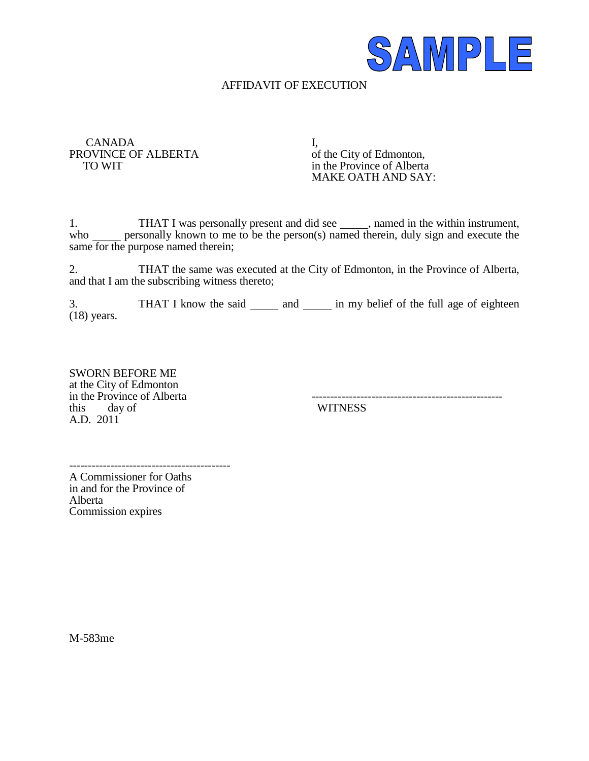

## AFFIDAVIT OF EXECUTION

CANADA I,<br>OVINCE OF ALBERTA of the City of Edmonton, PROVINCE OF ALBERTA<br>TO WIT

in the Province of Alberta MAKE OATH AND SAY:

1. THAT I was personally present and did see \_\_\_\_\_, named in the within instrument, who <u>secure</u> personally known to me to be the person(s) named therein, duly sign and execute the same for the purpose named therein;

2. THAT the same was executed at the City of Edmonton, in the Province of Alberta, and that I am the subscribing witness thereto;

3. THAT I know the said \_\_\_\_\_\_ and \_\_\_\_\_\_ in my belief of the full age of eighteen (18) years.

SWORN BEFORE ME at the City of Edmonton in the Province of Alberta<br>this day of A.D. 2011

**WITNESS** 

-------------------------------------------

A Commissioner for Oaths in and for the Province of Alberta Commission expires

M-583me